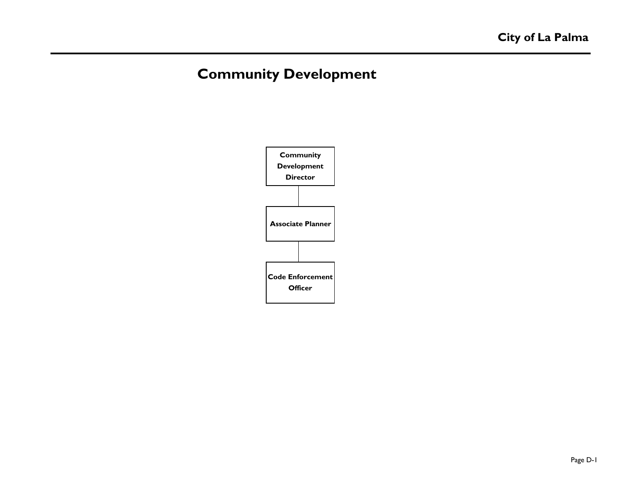# **Community Development**

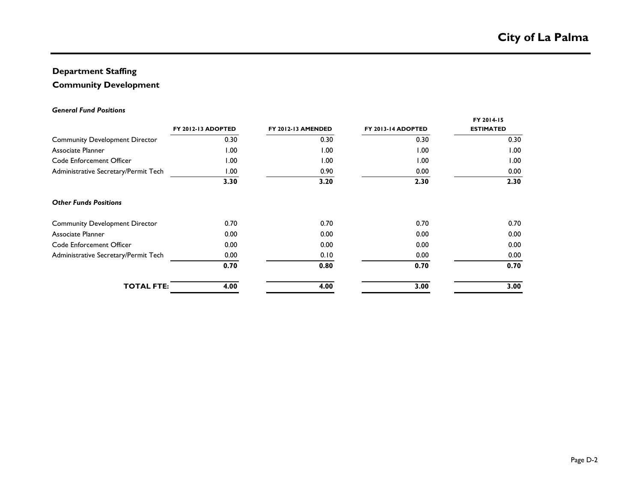## **Department Staffing**

## **Community Development**

#### *General Fund Positions*

|                                       | FY 2012-13 ADOPTED | <b>FY 2012-13 AMENDED</b> | FY 2013-14 ADOPTED | FY 2014-15<br><b>ESTIMATED</b> |
|---------------------------------------|--------------------|---------------------------|--------------------|--------------------------------|
| <b>Community Development Director</b> | 0.30               | 0.30                      | 0.30               | 0.30                           |
| Associate Planner                     | 1.00               | 00.1                      | 1.00               | 1.00                           |
| Code Enforcement Officer              | 1.00               | 1.00                      | 1.00               | 1.00                           |
| Administrative Secretary/Permit Tech  | 1.00               | 0.90                      | 0.00               | 0.00                           |
|                                       | 3.30               | 3.20                      | 2.30               | 2.30                           |
| <b>Other Funds Positions</b>          |                    |                           |                    |                                |
| <b>Community Development Director</b> | 0.70               | 0.70                      | 0.70               | 0.70                           |
| Associate Planner                     | 0.00               | 0.00                      | 0.00               | 0.00                           |
| Code Enforcement Officer              | 0.00               | 0.00                      | 0.00               | 0.00                           |
| Administrative Secretary/Permit Tech  | 0.00               | 0.10                      | 0.00               | 0.00                           |
|                                       | 0.70               | 0.80                      | 0.70               | 0.70                           |
| <b>TOTAL FTE:</b>                     | 4.00               | 4.00                      | 3.00               | 3.00                           |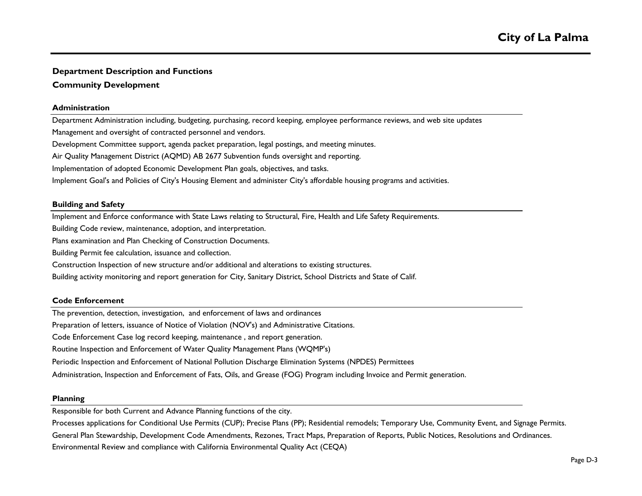## **Department Description and Functions**

### **Community Development**

#### **Administration**

Air Quality Management District (AQMD) AB 2677 Subvention funds oversight and reporting. Implementation of adopted Economic Development Plan goals, objectives, and tasks. Department Administration including, budgeting, purchasing, record keeping, employee performance reviews, and web site updates Management and oversight of contracted personnel and vendors. Development Committee support, agenda packet preparation, legal postings, and meeting minutes. Implement Goal's and Policies of City's Housing Element and administer City's affordable housing programs and activities.

#### **Building and Safety**

Implement and Enforce conformance with State Laws relating to Structural, Fire, Health and Life Safety Requirements.

Building Code review, maintenance, adoption, and interpretation.

Plans examination and Plan Checking of Construction Documents.

Building Permit fee calculation, issuance and collection.

Construction Inspection of new structure and/or additional and alterations to existing structures.

Building activity monitoring and report generation for City, Sanitary District, School Districts and State of Calif.

#### **Code Enforcement**

The prevention, detection, investigation, and enforcement of laws and ordinances

Preparation of letters, issuance of Notice of Violation (NOV's) and Administrative Citations.

Code Enforcement Case log record keeping, maintenance , and report generation.

Routine Inspection and Enforcement of Water Quality Management Plans (WQMP's)

Periodic Inspection and Enforcement of National Pollution Discharge Elimination Systems (NPDES) Permittees

Administration, Inspection and Enforcement of Fats, Oils, and Grease (FOG) Program including Invoice and Permit generation.

#### **Planning**

Responsible for both Current and Advance Planning functions of the city.

General Plan Stewardship, Development Code Amendments, Rezones, Tract Maps, Preparation of Reports, Public Notices, Resolutions and Ordinances. Environmental Review and compliance with California Environmental Quality Act (CEQA) Processes applications for Conditional Use Permits (CUP); Precise Plans (PP); Residential remodels; Temporary Use, Community Event, and Signage Permits.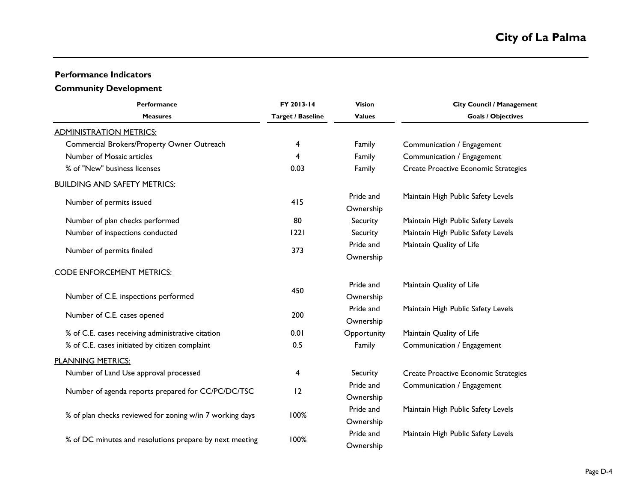## **Performance Indicators**

### **Community Development**

| <b>Performance</b>                                       | FY 2013-14               | <b>Vision</b>          | <b>City Council / Management</b>     |
|----------------------------------------------------------|--------------------------|------------------------|--------------------------------------|
| <b>Measures</b>                                          | <b>Target / Baseline</b> | <b>Values</b>          | <b>Goals / Objectives</b>            |
| <b>ADMINISTRATION METRICS:</b>                           |                          |                        |                                      |
| Commercial Brokers/Property Owner Outreach               | 4                        | Family                 | Communication / Engagement           |
| Number of Mosaic articles                                | 4                        | Family                 | Communication / Engagement           |
| % of "New" business licenses                             | 0.03                     | Family                 | Create Proactive Economic Strategies |
| <b>BUILDING AND SAFETY METRICS:</b>                      |                          |                        |                                      |
| Number of permits issued                                 | 415                      | Pride and<br>Ownership | Maintain High Public Safety Levels   |
| Number of plan checks performed                          | 80                       | Security               | Maintain High Public Safety Levels   |
| Number of inspections conducted                          | 1221                     | Security               | Maintain High Public Safety Levels   |
| Number of permits finaled                                | 373                      | Pride and<br>Ownership | Maintain Quality of Life             |
| <b>CODE ENFORCEMENT METRICS:</b>                         |                          |                        |                                      |
| Number of C.E. inspections performed                     | 450                      | Pride and<br>Ownership | Maintain Quality of Life             |
| Number of C.E. cases opened                              | 200                      | Pride and<br>Ownership | Maintain High Public Safety Levels   |
| % of C.E. cases receiving administrative citation        | 0.01                     | Opportunity            | Maintain Quality of Life             |
| % of C.E. cases initiated by citizen complaint           | 0.5                      | Family                 | Communication / Engagement           |
| <b>PLANNING METRICS:</b>                                 |                          |                        |                                      |
| Number of Land Use approval processed                    | 4                        | Security               | Create Proactive Economic Strategies |
| Number of agenda reports prepared for CC/PC/DC/TSC       | 12                       | Pride and<br>Ownership | Communication / Engagement           |
| % of plan checks reviewed for zoning w/in 7 working days | 100%                     | Pride and<br>Ownership | Maintain High Public Safety Levels   |
| % of DC minutes and resolutions prepare by next meeting  | 100%                     | Pride and<br>Ownership | Maintain High Public Safety Levels   |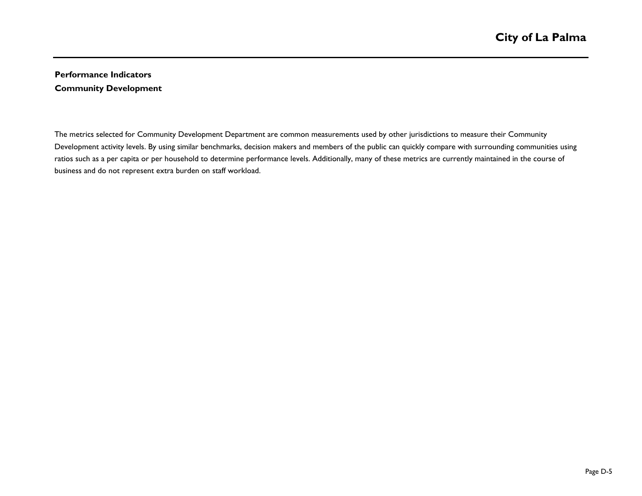## **Performance Indicators Community Development**

The metrics selected for Community Development Department are common measurements used by other jurisdictions to measure their Community Development activity levels. By using similar benchmarks, decision makers and members of the public can quickly compare with surrounding communities using ratios such as a per capita or per household to determine performance levels. Additionally, many of these metrics are currently maintained in the course of business and do not represent extra burden on staff workload.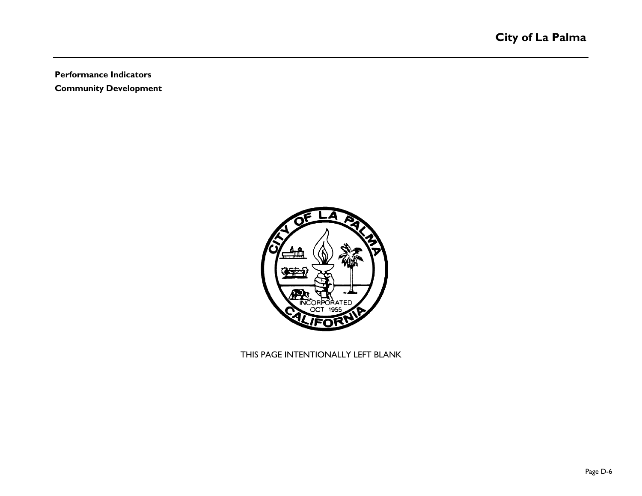**Performance Indicators**

**Community Development**



THIS PAGE INTENTIONALLY LEFT BLANK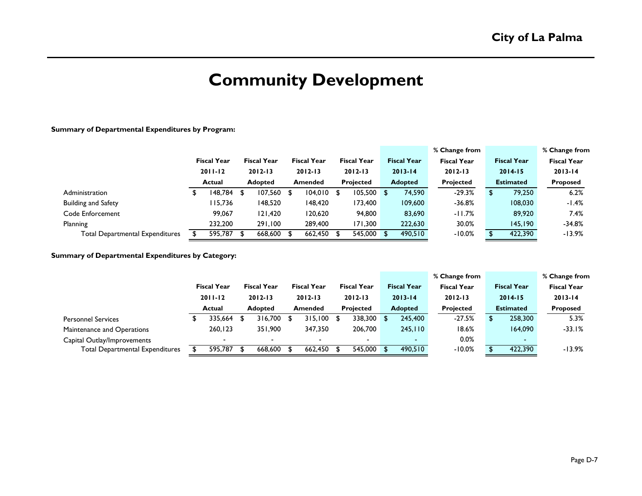# **Community Development**

#### **Summary of Departmental Expenditures by Program:**

| <b>Fiscal Year</b> |
|--------------------|
| $2013 - 14$        |
| <b>Proposed</b>    |
| 6.2%               |
| -1.4%              |
| 7.4%               |
| $-34.8%$           |
| $-13.9%$           |
|                    |

#### **Summary of Departmental Expenditures by Category:**

|                                        |               |                                   |                |                                   |                |                                   |   |                          |                |                    | % Change from      | % Change from |                    |                    |
|----------------------------------------|---------------|-----------------------------------|----------------|-----------------------------------|----------------|-----------------------------------|---|--------------------------|----------------|--------------------|--------------------|---------------|--------------------|--------------------|
|                                        |               | <b>Fiscal Year</b><br>$2011 - 12$ |                | <b>Fiscal Year</b><br>$2012 - 13$ |                | <b>Fiscal Year</b><br>$2012 - 13$ |   | <b>Fiscal Year</b>       |                | <b>Fiscal Year</b> | <b>Fiscal Year</b> |               | <b>Fiscal Year</b> | <b>Fiscal Year</b> |
|                                        |               |                                   |                |                                   |                |                                   |   | $2012 - 13$              | $2013 - 14$    |                    | $2012 - 13$        |               | $2014 - 15$        | $2013 - 14$        |
|                                        | <b>Actual</b> |                                   | <b>Adopted</b> |                                   | <b>Amended</b> |                                   |   | <b>Projected</b>         | <b>Adopted</b> |                    | <b>Projected</b>   |               | <b>Estimated</b>   | Proposed           |
| <b>Personnel Services</b>              |               | 335,664                           |                | 316,700                           |                | 315,100                           | S | 338,300                  |                | 245,400            | $-27.5%$           |               | 258,300            | 5.3%               |
| Maintenance and Operations             |               | 260,123                           |                | 351,900                           |                | 347,350                           |   | 206,700                  |                | 245,110            | 18.6%              |               | 164,090            | $-33.1%$           |
| Capital Outlay/Improvements            |               |                                   |                |                                   |                |                                   |   | $\overline{\phantom{0}}$ |                | $\sim$             | 0.0%               |               | -                  |                    |
| <b>Total Departmental Expenditures</b> |               | 595.787                           |                | 668,600                           | - \$           | 662.450                           |   | 545,000 \$               |                | 490,510            | $-10.0%$           |               | 422,390            | $-13.9%$           |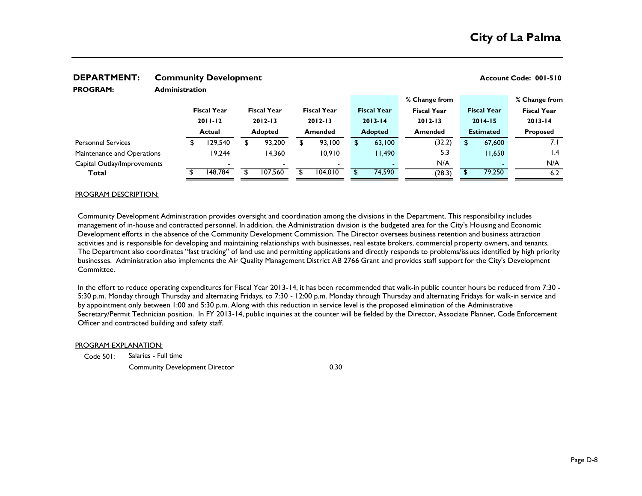| <b>PROGRAM:</b>             | <b>Administration</b> |                                   |    |                                   |  |                                   |                |                    |                    |                  |                    |                    |  |
|-----------------------------|-----------------------|-----------------------------------|----|-----------------------------------|--|-----------------------------------|----------------|--------------------|--------------------|------------------|--------------------|--------------------|--|
|                             |                       | <b>Fiscal Year</b><br>$2011 - 12$ |    |                                   |  |                                   |                |                    | % Change from      |                  |                    | % Change from      |  |
|                             |                       |                                   |    | <b>Fiscal Year</b><br>$2012 - 13$ |  | <b>Fiscal Year</b><br>$2012 - 13$ |                | <b>Fiscal Year</b> | <b>Fiscal Year</b> |                  | <b>Fiscal Year</b> | <b>Fiscal Year</b> |  |
|                             |                       |                                   |    |                                   |  |                                   |                | $2013 - 14$        | $2012 - 13$        | $2014 - 15$      |                    | $2013 - 14$        |  |
|                             |                       | <b>Actual</b>                     |    | <b>Adopted</b>                    |  | <b>Amended</b>                    | <b>Adopted</b> |                    | <b>Amended</b>     | <b>Estimated</b> |                    | <b>Proposed</b>    |  |
| <b>Personnel Services</b>   |                       | 29,540                            | \$ | 93,200                            |  | 93,100                            |                | 63,100             | (32.2)             | \$               | 67,600             | 7.1                |  |
| Maintenance and Operations  |                       | 19,244                            |    | 14,360                            |  | 10,910                            |                | 11,490             | 5.3                |                  | 11,650             | $\mathsf{I}$ .4    |  |
| Capital Outlay/Improvements |                       |                                   |    |                                   |  | $\overline{\phantom{0}}$          |                |                    | N/A                |                  |                    | N/A                |  |
| Total                       |                       | 148.784                           |    | 107.560                           |  | 104.010                           |                | 74,590             | (28.3)             |                  | 79,250             | 6.2                |  |

## **DEPARTMENT:** Community Development **CONSISTENT Account Code: 001-510**

#### PROGRAM DESCRIPTION:

Community Development Administration provides oversight and coordination among the divisions in the Department. This responsibility includes management of in-house and contracted personnel. In addition, the Administration division is the budgeted area for the City's Housing and Economic Development efforts in the absence of the Community Development Commission. The Director oversees business retention and business attraction activities and is responsible for developing and maintaining relationships with businesses, real estate brokers, commercial property owners, and tenants. The Department also coordinates "fast tracking" of land use and permitting applications and directly responds to problems/issues identified by high priority businesses. Administration also implements the Air Quality Management District AB 2766 Grant and provides staff support for the City's Development Committee.

In the effort to reduce operating expenditures for Fiscal Year 2013-14, it has been recommended that walk-in public counter hours be reduced from 7:30 - 5:30 p.m. Monday through Thursday and alternating Fridays, to 7:30 - 12:00 p.m. Monday through Thursday and alternating Fridays for walk-in service and by appointment only between 1:00 and 5:30 p.m. Along with this reduction in service level is the proposed elimination of the Administrative Secretary/Permit Technician position. In FY 2013-14, public inquiries at the counter will be fielded by the Director, Associate Planner, Code Enforcement Officer and contracted building and safety staff.

#### PROGRAM EXPLANATION:

Code 501: Salaries - Full time

Community Development Director 0.30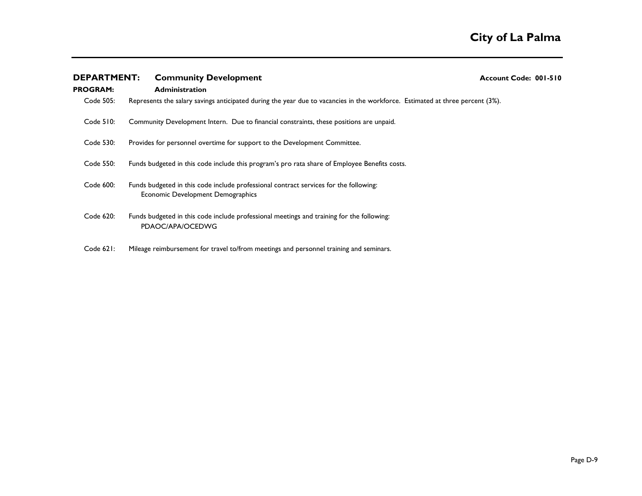| <b>DEPARTMENT:</b> | <b>Community Development</b>                                                                                                  | Account Code: 001-510 |
|--------------------|-------------------------------------------------------------------------------------------------------------------------------|-----------------------|
| <b>PROGRAM:</b>    | <b>Administration</b>                                                                                                         |                       |
| Code 505:          | Represents the salary savings anticipated during the year due to vacancies in the workforce. Estimated at three percent (3%). |                       |
| $Code$ 510:        | Community Development Intern. Due to financial constraints, these positions are unpaid.                                       |                       |
| Code 530:          | Provides for personnel overtime for support to the Development Committee.                                                     |                       |
| Code 550:          | Funds budgeted in this code include this program's pro rata share of Employee Benefits costs.                                 |                       |
| Code 600:          | Funds budgeted in this code include professional contract services for the following:<br>Economic Development Demographics    |                       |
| Code 620:          | Funds budgeted in this code include professional meetings and training for the following:<br>PDAOC/APA/OCEDWG                 |                       |
| Code 621:          | Mileage reimbursement for travel to/from meetings and personnel training and seminars.                                        |                       |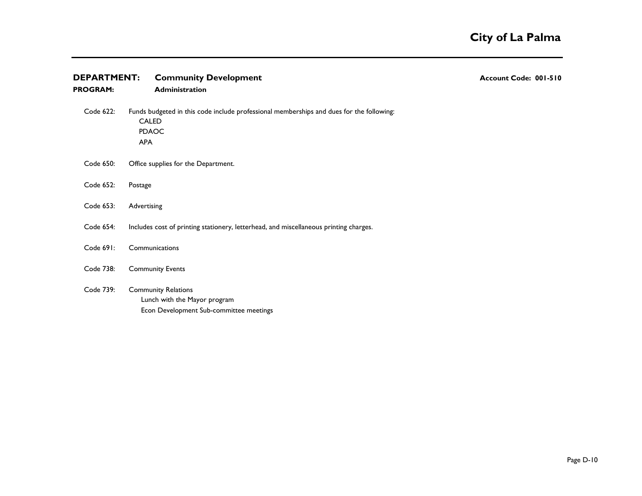| <b>DEPARTMENT:</b> | <b>Community Development</b>                                                                                                           | Account Code: 001-510 |
|--------------------|----------------------------------------------------------------------------------------------------------------------------------------|-----------------------|
| <b>PROGRAM:</b>    | Administration                                                                                                                         |                       |
| Code 622:          | Funds budgeted in this code include professional memberships and dues for the following:<br><b>CALED</b><br><b>PDAOC</b><br><b>APA</b> |                       |
| Code 650:          | Office supplies for the Department.                                                                                                    |                       |
| Code 652:          | Postage                                                                                                                                |                       |
| Code 653:          | Advertising                                                                                                                            |                       |
| Code 654:          | Includes cost of printing stationery, letterhead, and miscellaneous printing charges.                                                  |                       |
| Code 691:          | Communications                                                                                                                         |                       |
| Code 738:          | <b>Community Events</b>                                                                                                                |                       |
| Code 739:          | <b>Community Relations</b><br>Lunch with the Mayor program<br>Econ Development Sub-committee meetings                                  |                       |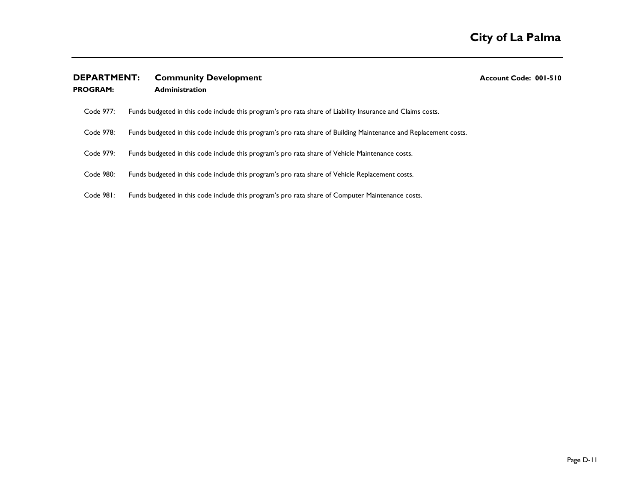|  | <b>DEPARTMENT:</b> | <b>Community Development</b> |
|--|--------------------|------------------------------|
|--|--------------------|------------------------------|

**PROGRAM: Administration**

**DEPARTMENT: Community Development Account Code: 001-510**

| Code 977: | Funds budgeted in this code include this program's pro rata share of Liability Insurance and Claims costs. |  |
|-----------|------------------------------------------------------------------------------------------------------------|--|
|           |                                                                                                            |  |

- Code 978: Funds budgeted in this code include this program's pro rata share of Building Maintenance and Replacement costs.
- Code 979: Funds budgeted in this code include this program's pro rata share of Vehicle Maintenance costs.
- Code 980: Funds budgeted in this code include this program's pro rata share of Vehicle Replacement costs.
- Code 981: Funds budgeted in this code include this program's pro rata share of Computer Maintenance costs.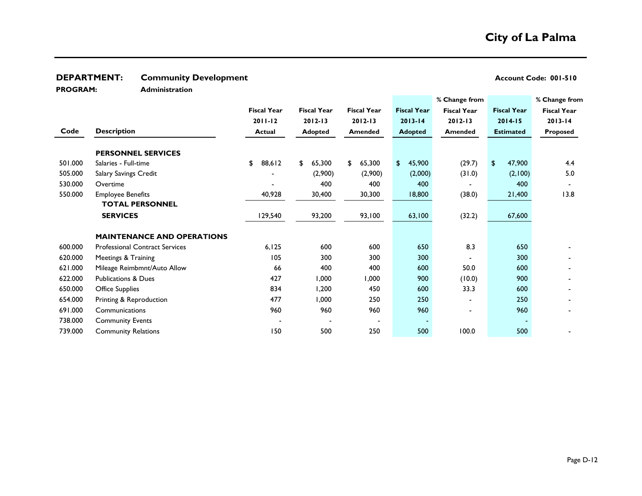## **DEPARTMENT:** Community Development **Account Code: 001-510** Account Code: 001-510

**PROGRAM:** 

**Administration**

|         |                                       |                    |                                          |                |                    | % Change from      |                         | % Change from      |
|---------|---------------------------------------|--------------------|------------------------------------------|----------------|--------------------|--------------------|-------------------------|--------------------|
|         |                                       | <b>Fiscal Year</b> | <b>Fiscal Year</b><br><b>Fiscal Year</b> |                | <b>Fiscal Year</b> | <b>Fiscal Year</b> | <b>Fiscal Year</b>      | <b>Fiscal Year</b> |
|         |                                       | $2011 - 12$        | $2012 - 13$                              | $2012 - 13$    | $2013 - 14$        | $2012 - 13$        | $2014 - 15$             | $2013 - 14$        |
| Code    | <b>Description</b>                    | <b>Actual</b>      | <b>Adopted</b>                           | <b>Amended</b> | <b>Adopted</b>     | <b>Amended</b>     | <b>Estimated</b>        | Proposed           |
|         |                                       |                    |                                          |                |                    |                    |                         |                    |
|         | <b>PERSONNEL SERVICES</b>             |                    |                                          |                |                    |                    |                         |                    |
| 501.000 | Salaries - Full-time                  | 88,612<br>\$       | 65,300<br>\$                             | 65,300<br>\$   | 45,900<br>\$       | (29.7)             | 47,900<br>$\frac{1}{2}$ | 4.4                |
| 505.000 | <b>Salary Savings Credit</b>          |                    | (2,900)                                  | (2,900)        | (2,000)            | (31.0)             | (2,100)                 | 5.0                |
| 530.000 | Overtime                              |                    | 400                                      | 400            | 400                |                    | 400                     |                    |
| 550.000 | <b>Employee Benefits</b>              | 40,928             | 30,400                                   | 30,300         | 18,800             | (38.0)             | 21,400                  | 13.8               |
|         | <b>TOTAL PERSONNEL</b>                |                    |                                          |                |                    |                    |                         |                    |
|         | <b>SERVICES</b>                       | 129,540            | 93,200                                   | 93,100         | 63,100             | (32.2)             | 67,600                  |                    |
|         |                                       |                    |                                          |                |                    |                    |                         |                    |
|         | <b>MAINTENANCE AND OPERATIONS</b>     |                    |                                          |                |                    |                    |                         |                    |
| 600.000 | <b>Professional Contract Services</b> | 6,125              | 600                                      | 600            | 650                | 8.3                | 650                     |                    |
| 620.000 | Meetings & Training                   | 105                | 300                                      | 300            | 300                |                    | 300                     |                    |
| 621.000 | Mileage Reimbmnt/Auto Allow           | 66                 | 400                                      | 400            | 600                | 50.0               | 600                     |                    |
| 622.000 | <b>Publications &amp; Dues</b>        | 427                | 1,000                                    | 1,000          | 900                | (10.0)             | 900                     |                    |
| 650.000 | <b>Office Supplies</b>                | 834                | 1,200                                    | 450            | 600                | 33.3               | 600                     |                    |
| 654.000 | Printing & Reproduction               | 477                | 1,000                                    | 250            | 250                |                    | 250                     |                    |
| 691.000 | Communications                        | 960                | 960                                      | 960            | 960                |                    | 960                     |                    |
| 738.000 | <b>Community Events</b>               |                    |                                          |                |                    |                    |                         |                    |
| 739.000 | <b>Community Relations</b>            | 150                | 500                                      | 250            | 500                | 100.0              | 500                     |                    |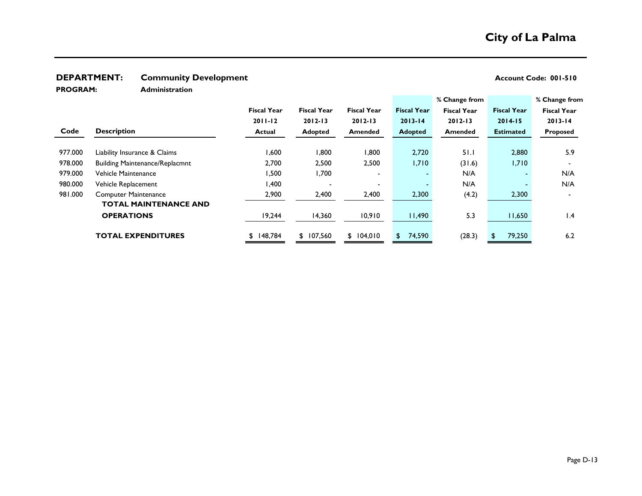## **DEPARTMENT:** Community Development **Account Code: 001-510** Account Code: 001-510

**PROGRAM:** 

**Administration**

|         |                                       |                    |                    |                    |                    | % Change from      |                    | % Change from      |
|---------|---------------------------------------|--------------------|--------------------|--------------------|--------------------|--------------------|--------------------|--------------------|
|         |                                       | <b>Fiscal Year</b> | <b>Fiscal Year</b> | <b>Fiscal Year</b> | <b>Fiscal Year</b> | <b>Fiscal Year</b> | <b>Fiscal Year</b> | <b>Fiscal Year</b> |
|         |                                       | $2011 - 12$        | $2012 - 13$        | $2012 - 13$        | $2013 - 14$        | $2012 - 13$        | $2014 - 15$        | $2013 - 14$        |
| Code    | <b>Description</b>                    | Actual             | <b>Adopted</b>     | <b>Amended</b>     | <b>Adopted</b>     | Amended            | <b>Estimated</b>   | <b>Proposed</b>    |
|         |                                       |                    |                    |                    |                    |                    |                    |                    |
| 977.000 | Liability Insurance & Claims          | 1,600              | 1,800              | 1,800              | 2,720              | 51.1               | 2,880              | 5.9                |
| 978.000 | <b>Building Maintenance/Replacmnt</b> | 2,700              | 2,500              | 2,500              | 1,710              | (31.6)             | 1,710              |                    |
| 979.000 | Vehicle Maintenance                   | 500, ا             | 1,700              |                    |                    | N/A                |                    | N/A                |
| 980.000 | Vehicle Replacement                   | 1,400              |                    |                    | ۰.                 | N/A                |                    | N/A                |
| 981.000 | <b>Computer Maintenance</b>           | 2,900              | 2,400              | 2,400              | 2,300              | (4.2)              | 2,300              |                    |
|         | <b>TOTAL MAINTENANCE AND</b>          |                    |                    |                    |                    |                    |                    |                    |
|         | <b>OPERATIONS</b>                     | 19,244             | 14,360             | 10,910             | 11,490             | 5.3                | 11,650             | $\mathsf{I}$ .4    |
|         | <b>TOTAL EXPENDITURES</b>             | 148,784<br>S.      | \$107,560          | \$104,010          | \$74,590           | (28.3)             | 79,250             | 6.2                |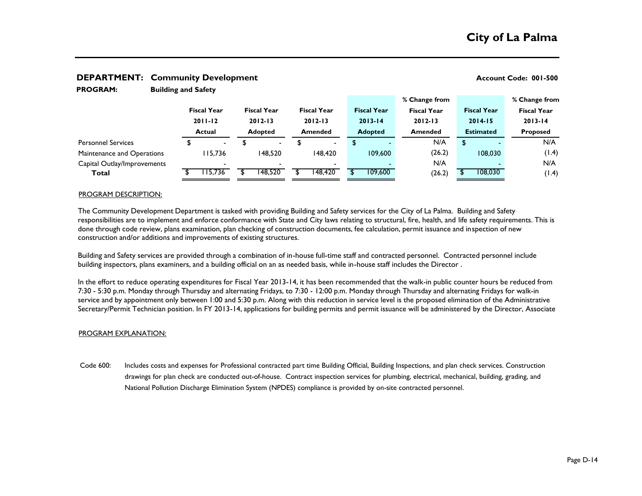|                             | . .                   |                          |                    |                          |                    |                            |                |                    |                    | % Change from |                    |             | % Change from      |             |  |
|-----------------------------|-----------------------|--------------------------|--------------------|--------------------------|--------------------|----------------------------|----------------|--------------------|--------------------|---------------|--------------------|-------------|--------------------|-------------|--|
|                             |                       | <b>Fiscal Year</b>       | <b>Fiscal Year</b> |                          | <b>Fiscal Year</b> |                            |                | <b>Fiscal Year</b> | <b>Fiscal Year</b> |               | <b>Fiscal Year</b> |             | <b>Fiscal Year</b> |             |  |
|                             | $2011 - 12$<br>Actual |                          | $2012 - 13$        |                          |                    | $2012 - 13$<br>$2013 - 14$ |                |                    | $2012 - 13$        |               |                    | $2014 - 15$ |                    | $2013 - 14$ |  |
|                             |                       |                          | <b>Adopted</b>     |                          | <b>Amended</b>     |                            | <b>Adopted</b> |                    | <b>Amended</b>     |               | <b>Estimated</b>   |             | <b>Proposed</b>    |             |  |
| <b>Personnel Services</b>   |                       | $\overline{\phantom{0}}$ |                    | $\sim$                   |                    | $\overline{\phantom{0}}$   |                | -                  |                    | N/A           | \$                 |             |                    | N/A         |  |
| Maintenance and Operations  |                       | 115.736                  |                    | 148.520                  |                    | 148.420                    |                | 109,600            |                    | (26.2)        |                    | 108,030     |                    | (1.4)       |  |
| Capital Outlay/Improvements |                       |                          |                    | $\overline{\phantom{0}}$ |                    | $\blacksquare$             |                |                    |                    | N/A           |                    |             |                    | N/A         |  |
| Total                       |                       | 115,736                  |                    | 148,520                  |                    | 148,420                    |                | 109,600            |                    | (26.2)        |                    | 108,030     |                    | (1.4)       |  |

#### **DEPARTMENT: Community Development Account Code: 001-500 Account Code: 001-500**

**Building and Safety**

#### PROGRAM DESCRIPTION:

**PROGRAM:** 

The Community Development Department is tasked with providing Building and Safety services for the City of La Palma. Building and Safety responsibilities are to implement and enforce conformance with State and City laws relating to structural, fire, health, and life safety requirements. This is done through code review, plans examination, plan checking of construction documents, fee calculation, permit issuance and inspection of new construction and/or additions and improvements of existing structures.

Building and Safety services are provided through a combination of in-house full-time staff and contracted personnel. Contracted personnel include building inspectors, plans examiners, and a building official on an as needed basis, while in-house staff includes the Director .

In the effort to reduce operating expenditures for Fiscal Year 2013-14, it has been recommended that the walk-in public counter hours be reduced from 7:30 - 5:30 p.m. Monday through Thursday and alternating Fridays, to 7:30 - 12:00 p.m. Monday through Thursday and alternating Fridays for walk-in service and by appointment only between 1:00 and 5:30 p.m. Along with this reduction in service level is the proposed elimination of the Administrative Secretary/Permit Technician position. In FY 2013-14, applications for building permits and permit issuance will be administered by the Director, Associate

#### PROGRAM EXPLANATION:

Code 600: Includes costs and expenses for Professional contracted part time Building Official, Building Inspections, and plan check services. Construction drawings for plan check are conducted out-of-house. Contract inspection services for plumbing, electrical, mechanical, building, grading, and National Pollution Discharge Elimination System (NPDES) compliance is provided by on-site contracted personnel.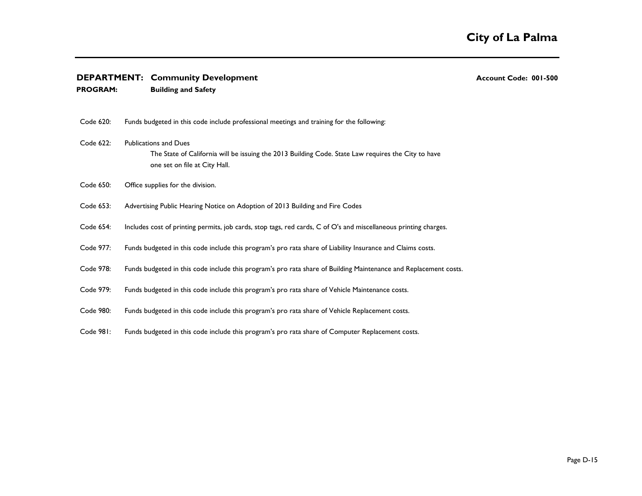| <b>DEPARTMENT: Community Development</b> |  |  |
|------------------------------------------|--|--|
|------------------------------------------|--|--|

- **DEPARTMENT: Community Development Account Code: 001-500**
- **PROGRAM: Building and Safety** Code 620: Code 622: Publications and Dues Code 650: Code 653: Advertising Public Hearing Notice on Adoption of 2013 Building and Fire Codes Code 654: Code 977: Code 978: Code 979: Code 980: Code 981: The State of California will be issuing the 2013 Building Code. State Law requires the City to have one set on file at City Hall. Includes cost of printing permits, job cards, stop tags, red cards, C of O's and miscellaneous printing charges. Funds budgeted in this code include this program's pro rata share of Computer Replacement costs. Funds budgeted in this code include professional meetings and training for the following: Funds budgeted in this code include this program's pro rata share of Liability Insurance and Claims costs. Funds budgeted in this code include this program's pro rata share of Building Maintenance and Replacement costs. Funds budgeted in this code include this program's pro rata share of Vehicle Maintenance costs. Funds budgeted in this code include this program's pro rata share of Vehicle Replacement costs. Office supplies for the division.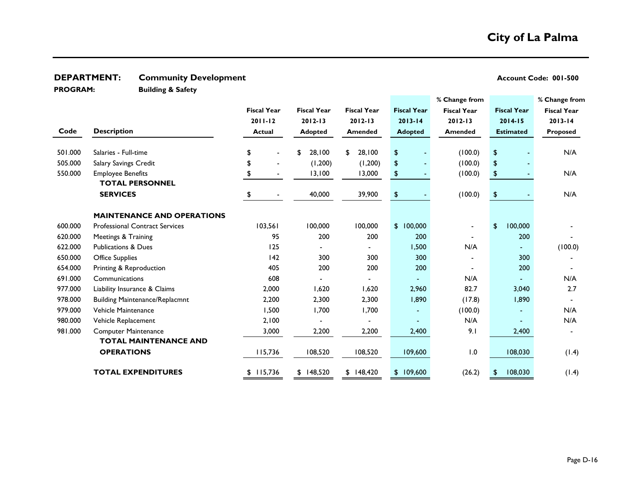## **DEPARTMENT:** Community Development **Account Code: 001-500 Account Code: 001-500**

**PROGRAM:** 

**Building & Safety**

|         |                                       |                    |                    |                    |                    | % Change from      |                       | % Change from      |
|---------|---------------------------------------|--------------------|--------------------|--------------------|--------------------|--------------------|-----------------------|--------------------|
|         |                                       | <b>Fiscal Year</b> | <b>Fiscal Year</b> | <b>Fiscal Year</b> | <b>Fiscal Year</b> | <b>Fiscal Year</b> | <b>Fiscal Year</b>    | <b>Fiscal Year</b> |
|         |                                       | $2011 - 12$        | 2012-13            | $2012 - 13$        | $2013 - 14$        | $2012 - 13$        | $2014 - 15$           | $2013 - 14$        |
| Code    | <b>Description</b>                    | <b>Actual</b>      | <b>Adopted</b>     | <b>Amended</b>     | <b>Adopted</b>     | <b>Amended</b>     | <b>Estimated</b>      | <b>Proposed</b>    |
|         |                                       |                    |                    |                    |                    |                    |                       |                    |
| 501.000 | Salaries - Full-time                  | \$                 | 28,100<br>\$       | 28,100<br>\$       | \$                 | (100.0)            | $\boldsymbol{\theta}$ | N/A                |
| 505.000 | Salary Savings Credit                 |                    | (1,200)            | (1,200)            | \$                 | (100.0)            | \$                    |                    |
| 550.000 | <b>Employee Benefits</b>              | \$                 | 13,100             | 13,000             | \$                 | (100.0)            | $\pmb{\mathfrak{P}}$  | N/A                |
|         | <b>TOTAL PERSONNEL</b>                |                    |                    |                    |                    |                    |                       |                    |
|         | <b>SERVICES</b>                       | \$                 | 40,000             | 39,900             | \$                 | (100.0)            | \$                    | N/A                |
|         |                                       |                    |                    |                    |                    |                    |                       |                    |
|         | <b>MAINTENANCE AND OPERATIONS</b>     |                    |                    |                    |                    |                    |                       |                    |
| 600.000 | <b>Professional Contract Services</b> | 103,561            | 100,000            | 100,000            | \$100,000          |                    | 100,000<br>\$         |                    |
| 620.000 | Meetings & Training                   | 95                 | 200                | 200                | 200                |                    | 200                   |                    |
| 622.000 | <b>Publications &amp; Dues</b>        | 125                |                    |                    | 1,500              | N/A                |                       | (100.0)            |
| 650.000 | <b>Office Supplies</b>                | 142                | 300                | 300                | 300                |                    | 300                   |                    |
| 654.000 | Printing & Reproduction               | 405                | 200                | 200                | 200                |                    | 200                   |                    |
| 691.000 | Communications                        | 608                |                    |                    |                    | N/A                |                       | N/A                |
| 977.000 | Liability Insurance & Claims          | 2,000              | 1,620              | 1,620              | 2,960              | 82.7               | 3,040                 | 2.7                |
| 978.000 | <b>Building Maintenance/Replacmnt</b> | 2,200              | 2,300              | 2,300              | 1,890              | (17.8)             | 1,890                 |                    |
| 979.000 | Vehicle Maintenance                   | 1,500              | 1,700              | 1,700              |                    | (100.0)            |                       | N/A                |
| 980.000 | Vehicle Replacement                   | 2,100              |                    |                    |                    | N/A                |                       | N/A                |
| 981.000 | <b>Computer Maintenance</b>           | 3,000              | 2,200              | 2,200              | 2,400              | 9.1                | 2,400                 |                    |
|         | <b>TOTAL MAINTENANCE AND</b>          |                    |                    |                    |                    |                    |                       |                    |
|         | <b>OPERATIONS</b>                     | 115,736            | 108,520            | 108,520            | 109,600            | 1.0                | 108,030               | (1.4)              |
|         | <b>TOTAL EXPENDITURES</b>             | 115,736<br>\$      | \$148,520          | \$148,420          | \$109,600          | (26.2)             | 108,030<br>\$         | (1.4)              |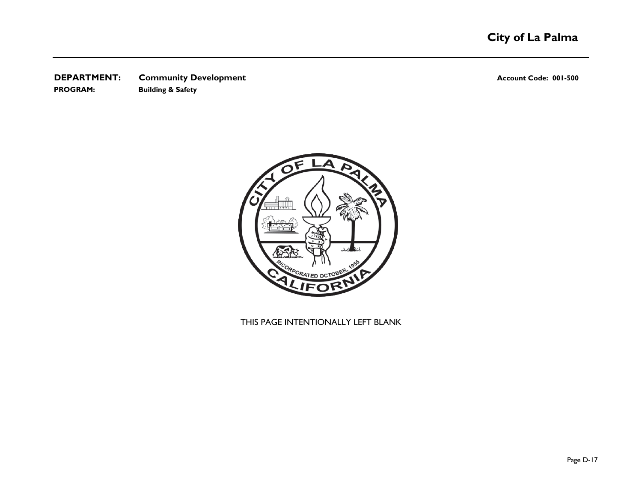## **DEPARTMENT:** Community Development **Account Code: 001-500 Account Code: 001-500 PROGRAM: Building & Safety**



## THIS PAGE INTENTIONALLY LEFT BLANK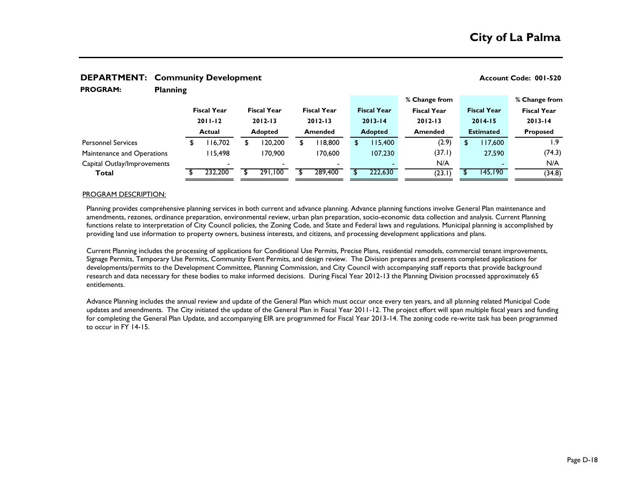| <b>PROGRAM:</b>             | <b>Planning</b> |                    |         |                    |                          |                |                    |                |                    |                |                    |                    |          |                    |
|-----------------------------|-----------------|--------------------|---------|--------------------|--------------------------|----------------|--------------------|----------------|--------------------|----------------|--------------------|--------------------|----------|--------------------|
|                             |                 |                    |         |                    |                          |                |                    |                |                    |                | % Change from      |                    |          | % Change from      |
|                             |                 | <b>Fiscal Year</b> |         | <b>Fiscal Year</b> |                          |                | <b>Fiscal Year</b> |                | <b>Fiscal Year</b> |                | <b>Fiscal Year</b> | <b>Fiscal Year</b> |          | <b>Fiscal Year</b> |
|                             |                 | $2011 - 12$        |         | $2012 - 13$        |                          | $2012 - 13$    |                    | $2013 - 14$    |                    | $2012 - 13$    |                    | $2014 - 15$        |          | $2013 - 14$        |
|                             |                 | <b>Actual</b>      |         | <b>Adopted</b>     |                          | <b>Amended</b> |                    | <b>Adopted</b> |                    | <b>Amended</b> |                    | <b>Estimated</b>   |          | <b>Proposed</b>    |
| <b>Personnel Services</b>   |                 |                    | 16.702  |                    | 20,200                   | \$             | 18,800             | S.             | 15.400             |                | (2.9)              | S                  | 17.600   | ۱.9                |
| Maintenance and Operations  |                 |                    | 15.498  |                    | 170,900                  |                | 170.600            |                | 107,230            |                | (37.1)             |                    | 27,590   | (74.3)             |
| Capital Outlay/Improvements |                 |                    |         |                    | $\overline{\phantom{0}}$ |                |                    |                |                    |                | N/A                |                    |          | N/A                |
| Total                       |                 |                    | 232,200 |                    | 291,100                  |                | 289,400            |                | 222,630            |                | (23.1)             |                    | 145, 190 | (34.8)             |

#### **DEPARTMENT:** Community Development **Account Code: 001-520 Account Code: 001-520**

#### PROGRAM DESCRIPTION:

Planning provides comprehensive planning services in both current and advance planning. Advance planning functions involve General Plan maintenance and amendments, rezones, ordinance preparation, environmental review, urban plan preparation, socio-economic data collection and analysis. Current Planning functions relate to interpretation of City Council policies, the Zoning Code, and State and Federal laws and regulations. Municipal planning is accomplished by providing land use information to property owners, business interests, and citizens, and processing development applications and plans.

Current Planning includes the processing of applications for Conditional Use Permits, Precise Plans, residential remodels, commercial tenant improvements, Signage Permits, Temporary Use Permits, Community Event Permits, and design review. The Division prepares and presents completed applications for developments/permits to the Development Committee, Planning Commission, and City Council with accompanying staff reports that provide background research and data necessary for these bodies to make informed decisions. During Fiscal Year 2012-13 the Planning Division processed approximately 65 entitlements.

Advance Planning includes the annual review and update of the General Plan which must occur once every ten years, and all planning related Municipal Code updates and amendments. The City initiated the update of the General Plan in Fiscal Year 2011-12. The project effort will span multiple fiscal years and funding for completing the General Plan Update, and accompanying EIR are programmed for Fiscal Year 2013-14. The zoning code re-write task has been programmed to occur in FY 14-15.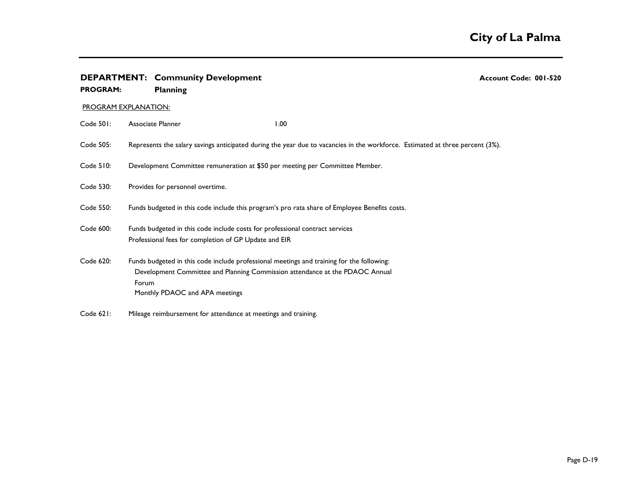| <b>PROGRAM:</b> | <b>DEPARTMENT: Community Development</b><br><b>Planning</b>                                                                                                                                                          | Account Code: 001-520 |  |  |  |  |  |  |
|-----------------|----------------------------------------------------------------------------------------------------------------------------------------------------------------------------------------------------------------------|-----------------------|--|--|--|--|--|--|
|                 | <b>PROGRAM EXPLANATION:</b>                                                                                                                                                                                          |                       |  |  |  |  |  |  |
| Code 501:       | Associate Planner<br>1.00                                                                                                                                                                                            |                       |  |  |  |  |  |  |
| Code 505:       | Represents the salary savings anticipated during the year due to vacancies in the workforce. Estimated at three percent (3%).                                                                                        |                       |  |  |  |  |  |  |
| Code 510:       | Development Committee remuneration at \$50 per meeting per Committee Member.                                                                                                                                         |                       |  |  |  |  |  |  |
| Code 530:       | Provides for personnel overtime.                                                                                                                                                                                     |                       |  |  |  |  |  |  |
| Code 550:       | Funds budgeted in this code include this program's pro rata share of Employee Benefits costs.                                                                                                                        |                       |  |  |  |  |  |  |
| Code 600:       | Funds budgeted in this code include costs for professional contract services<br>Professional fees for completion of GP Update and EIR                                                                                |                       |  |  |  |  |  |  |
| Code 620:       | Funds budgeted in this code include professional meetings and training for the following:<br>Development Committee and Planning Commission attendance at the PDAOC Annual<br>Forum<br>Monthly PDAOC and APA meetings |                       |  |  |  |  |  |  |
| Code 621:       | Mileage reimbursement for attendance at meetings and training.                                                                                                                                                       |                       |  |  |  |  |  |  |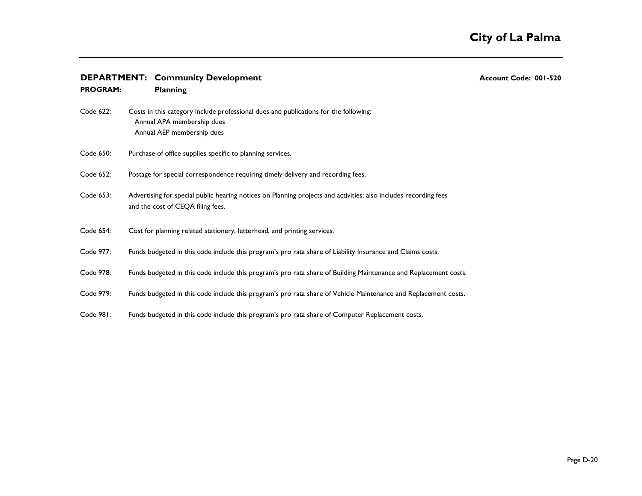| <b>DEPARTMENT: Community Development</b> |  |  |
|------------------------------------------|--|--|
|------------------------------------------|--|--|

**Community Development: Community Development Code: 001-520** 

| <b>PROGRAM:</b> | <b>Planning</b>                                                                                                                                       |
|-----------------|-------------------------------------------------------------------------------------------------------------------------------------------------------|
| Code 622:       | Costs in this category include professional dues and publications for the following:<br>Annual APA membership dues<br>Annual AEP membership dues      |
| Code 650:       | Purchase of office supplies specific to planning services.                                                                                            |
| Code 652:       | Postage for special correspondence requiring timely delivery and recording fees.                                                                      |
| Code 653:       | Advertising for special public hearing notices on Planning projects and activities; also includes recording fees<br>and the cost of CEQA filing fees. |
| Code 654:       | Cost for planning related stationery, letterhead, and printing services.                                                                              |
| Code 977:       | Funds budgeted in this code include this program's pro rata share of Liability Insurance and Claims costs.                                            |
| Code 978:       | Funds budgeted in this code include this program's pro rata share of Building Maintenance and Replacement costs.                                      |
| Code 979:       | Funds budgeted in this code include this program's pro rata share of Vehicle Maintenance and Replacement costs.                                       |
| Code 981:       | Funds budgeted in this code include this program's pro rata share of Computer Replacement costs.                                                      |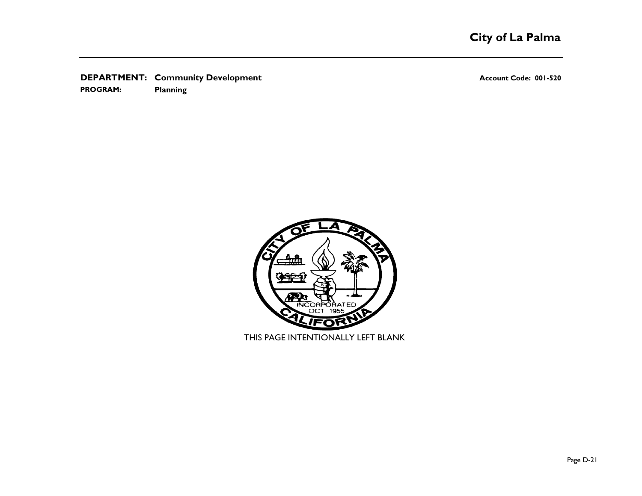**DEPARTMENT:** Community Development **Account Code: 001-520** Account Code: 001-520

**PROGRAM: Planning**

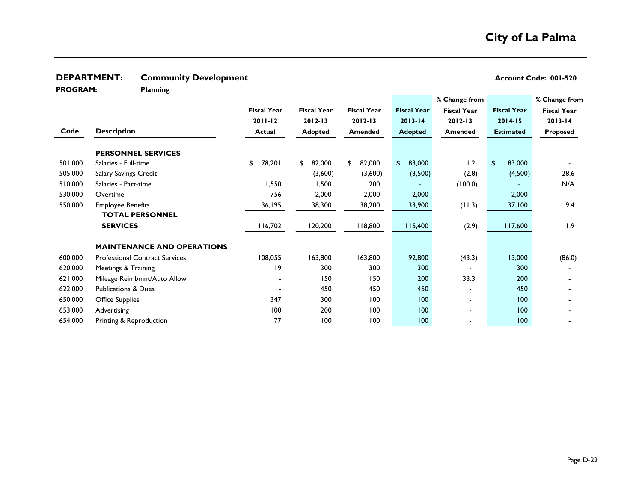**DEPARTMENT:** Community Development **Account Code: 001-520** Account Code: 001-520

**PROGRAM:** 

**Planning**

|         |                                       |                    |                    |                    |                    | % Change from      |                    | % Change from      |
|---------|---------------------------------------|--------------------|--------------------|--------------------|--------------------|--------------------|--------------------|--------------------|
|         |                                       | <b>Fiscal Year</b> | <b>Fiscal Year</b> | <b>Fiscal Year</b> | <b>Fiscal Year</b> | <b>Fiscal Year</b> | <b>Fiscal Year</b> | <b>Fiscal Year</b> |
|         |                                       | $2011 - 12$        | $2012 - 13$        | $2012 - 13$        | $2013 - 14$        | $2012 - 13$        | $2014 - 15$        | $2013 - 14$        |
| Code    | <b>Description</b>                    | <b>Actual</b>      | <b>Adopted</b>     | <b>Amended</b>     | <b>Adopted</b>     | <b>Amended</b>     | <b>Estimated</b>   | Proposed           |
|         | <b>PERSONNEL SERVICES</b>             |                    |                    |                    |                    |                    |                    |                    |
| 501.000 | Salaries - Full-time                  | 78,201<br>\$       | 82,000<br>\$       | \$<br>82,000       | \$<br>83,000       | 1.2                | 83,000<br>\$       |                    |
| 505.000 | Salary Savings Credit                 |                    | (3,600)            | (3,600)            | (3,500)            | (2.8)              | (4,500)            | 28.6               |
| 510.000 | Salaries - Part-time                  | 1,550              | 1,500              | 200                |                    | (100.0)            |                    | N/A                |
| 530.000 | Overtime                              | 756                | 2,000              | 2,000              | 2,000              |                    | 2,000              |                    |
| 550.000 | <b>Employee Benefits</b>              | 36,195             | 38,300             | 38,200             | 33,900             | (11.3)             | 37,100             | 9.4                |
|         | <b>TOTAL PERSONNEL</b>                |                    |                    |                    |                    |                    |                    |                    |
|         | <b>SERVICES</b>                       | 116,702            | 120,200            | 118,800            | 115,400            | (2.9)              | 117,600            | 1.9                |
|         |                                       |                    |                    |                    |                    |                    |                    |                    |
|         | <b>MAINTENANCE AND OPERATIONS</b>     |                    |                    |                    |                    |                    |                    |                    |
| 600.000 | <b>Professional Contract Services</b> | 108,055            | 163,800            | 163,800            | 92,800             | (43.3)             | 13,000             | (86.0)             |
| 620.000 | Meetings & Training                   | 19                 | 300                | 300                | 300                |                    | 300                |                    |
| 621.000 | Mileage Reimbmnt/Auto Allow           |                    | 150                | 150                | 200                | 33.3               | 200                |                    |
| 622.000 | <b>Publications &amp; Dues</b>        |                    | 450                | 450                | 450                |                    | 450                |                    |
| 650.000 | <b>Office Supplies</b>                | 347                | 300                | 100                | 100                |                    | 100                |                    |
| 653.000 | Advertising                           | 100                | 200                | 100                | 100                |                    | 100                |                    |
| 654.000 | Printing & Reproduction               | 77                 | 100                | 100                | 100                |                    | 100                |                    |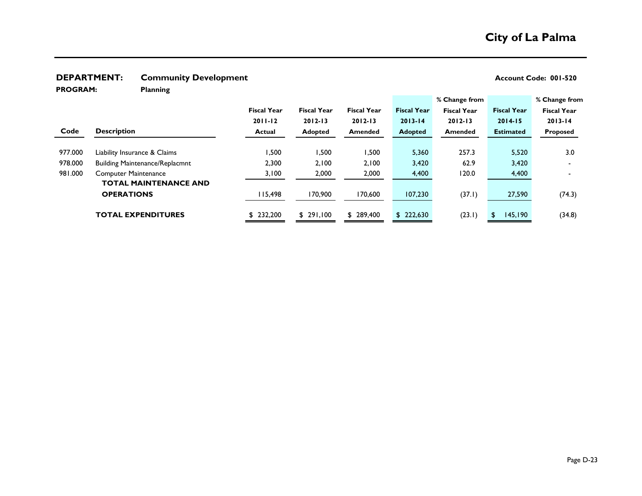## **DEPARTMENT:** Community Development **Account Code: 001-520** Account Code: 001-520

**PROGRAM:** 

**Planning**

|         |                                       |                    |                    |                    |                    | % Change from      |                    | % Change from            |
|---------|---------------------------------------|--------------------|--------------------|--------------------|--------------------|--------------------|--------------------|--------------------------|
|         |                                       | <b>Fiscal Year</b> | <b>Fiscal Year</b> | <b>Fiscal Year</b> | <b>Fiscal Year</b> | <b>Fiscal Year</b> | <b>Fiscal Year</b> | <b>Fiscal Year</b>       |
|         |                                       | $2011 - 12$        | $2012 - 13$        | $2012 - 13$        | $2013 - 14$        | $2012 - 13$        | $2014 - 15$        | $2013 - 14$              |
| Code    | <b>Description</b>                    | <b>Actual</b>      | <b>Adopted</b>     | <b>Amended</b>     | <b>Adopted</b>     | <b>Amended</b>     | <b>Estimated</b>   | Proposed                 |
|         |                                       |                    |                    |                    |                    |                    |                    |                          |
| 977.000 | Liability Insurance & Claims          | 500, ا             | 1,500              | 500, ا             | 5,360              | 257.3              | 5,520              | 3.0                      |
| 978.000 | <b>Building Maintenance/Replacmnt</b> | 2,300              | 2,100              | 2,100              | 3,420              | 62.9               | 3,420              | $\blacksquare$           |
| 981.000 | <b>Computer Maintenance</b>           | 3,100              | 2,000              | 2,000              | 4,400              | 120.0              | 4,400              | $\overline{\phantom{a}}$ |
|         | <b>TOTAL MAINTENANCE AND</b>          |                    |                    |                    |                    |                    |                    |                          |
|         | <b>OPERATIONS</b>                     | 115,498            | 170,900            | 170,600            | 107,230            | (37.1)             | 27,590             | (74.3)                   |
|         |                                       |                    |                    |                    |                    |                    |                    |                          |
|         | <b>TOTAL EXPENDITURES</b>             | \$232,200          | \$291.100          | \$ 289,400         | \$222,630          | (23.1)             | 145,190<br>S.      | (34.8)                   |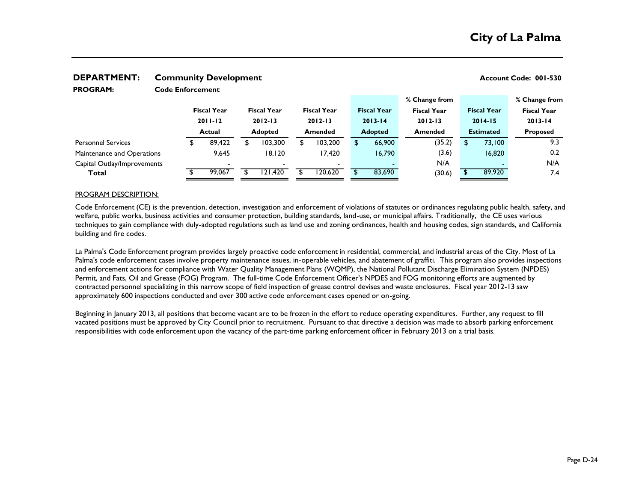| I INVUMIT.<br>Code Filial celliciir |  |                    |  |                           |                    |  |                                  |  |                    |                    |          |                    |                    |  |
|-------------------------------------|--|--------------------|--|---------------------------|--------------------|--|----------------------------------|--|--------------------|--------------------|----------|--------------------|--------------------|--|
|                                     |  |                    |  |                           |                    |  |                                  |  |                    | % Change from      |          |                    | % Change from      |  |
|                                     |  | <b>Fiscal Year</b> |  |                           | <b>Fiscal Year</b> |  | <b>Fiscal Year</b>               |  | <b>Fiscal Year</b> | <b>Fiscal Year</b> |          | <b>Fiscal Year</b> | <b>Fiscal Year</b> |  |
|                                     |  | $2011 - 12$        |  |                           | $2012 - 13$        |  | $2012 - 13$                      |  | $2013 - 14$        | $2012 - 13$        |          | $2014 - 15$        | $2013 - 14$        |  |
|                                     |  | Actual             |  | <b>Adopted</b><br>Amended |                    |  | <b>Adopted</b><br><b>Amended</b> |  | <b>Estimated</b>   |                    | Proposed |                    |                    |  |
| <b>Personnel Services</b>           |  | 89,422<br>⊅        |  |                           | 103,300            |  | 103,200                          |  | 66,900             | (35.2)             | S.       | 73,100             | 9.3                |  |
| Maintenance and Operations          |  | 9.645              |  |                           | 18,120             |  | 17,420                           |  | 16,790             | (3.6)              |          | 16,820             | 0.2                |  |
| Capital Outlay/Improvements         |  |                    |  |                           |                    |  | $\overline{\phantom{0}}$         |  |                    | N/A                |          |                    | N/A                |  |
| Total                               |  | 99.067             |  |                           | 121,420            |  | 20,620                           |  | 83,690             | (30.6)             |          | 89,920             | 7.4                |  |
|                                     |  |                    |  |                           |                    |  |                                  |  |                    |                    |          |                    |                    |  |

#### **DEPARTMENT:** Community Development **Account Code: 001-530** Account Code: 001-530 **Code Enforcement PROGRAM:**

#### PROGRAM DESCRIPTION:

Code Enforcement (CE) is the prevention, detection, investigation and enforcement of violations of statutes or ordinances regulating public health, safety, and welfare, public works, business activities and consumer protection, building standards, land-use, or municipal affairs. Traditionally, the CE uses various techniques to gain compliance with duly-adopted regulations such as land use and zoning ordinances, health and housing codes, sign standards, and California building and fire codes.

La Palma's Code Enforcement program provides largely proactive code enforcement in residential, commercial, and industrial areas of the City. Most of La Palma's code enforcement cases involve property maintenance issues, in-operable vehicles, and abatement of graffiti. This program also provides inspections and enforcement actions for compliance with Water Quality Management Plans (WQMP), the National Pollutant Discharge Elimination System (NPDES) Permit, and Fats, Oil and Grease (FOG) Program. The full-time Code Enforcement Officer's NPDES and FOG monitoring efforts are augmented by contracted personnel specializing in this narrow scope of field inspection of grease control devises and waste enclosures. Fiscal year 2012-13 saw approximately 600 inspections conducted and over 300 active code enforcement cases opened or on-going.

Beginning in January 2013, all positions that become vacant are to be frozen in the effort to reduce operating expenditures. Further, any request to fill vacated positions must be approved by City Council prior to recruitment. Pursuant to that directive a decision was made to absorb parking enforcement responsibilities with code enforcement upon the vacancy of the part-time parking enforcement officer in February 2013 on a trial basis.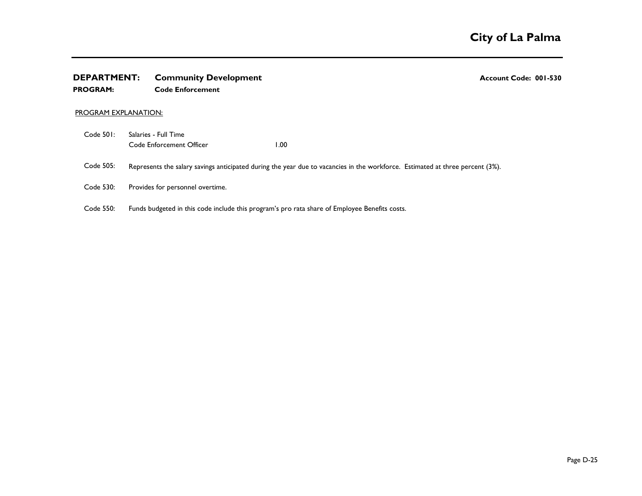# **DEPARTMENT:** Community Development **COMEXAGE 2001-530** Account Code: 001-530

#### **PROGRAM: Code Enforcement**

#### PROGRAM EXPLANATION:

- Code 501: Code Enforcement Officer 1.00 Salaries - Full Time
- Code 505: Represents the salary savings anticipated during the year due to vacancies in the workforce. Estimated at three percent (3%).
- Code 530: Provides for personnel overtime.
- Code 550: Funds budgeted in this code include this program's pro rata share of Employee Benefits costs.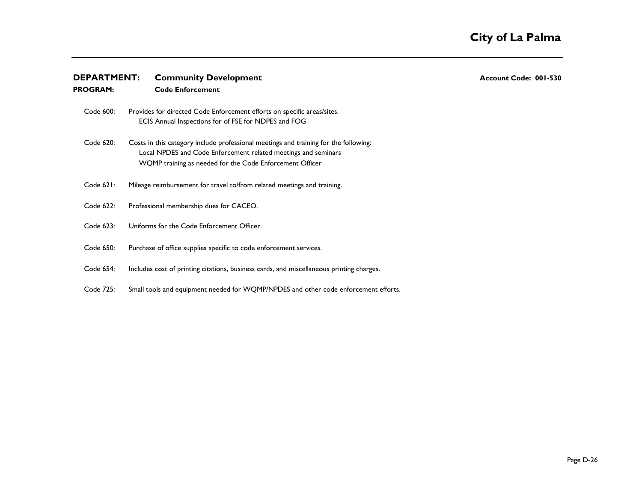| <b>DEPARTMENT:</b> | <b>Community Development</b>                                                                                                                                                                                       | Account Code: 001-530 |
|--------------------|--------------------------------------------------------------------------------------------------------------------------------------------------------------------------------------------------------------------|-----------------------|
| <b>PROGRAM:</b>    | <b>Code Enforcement</b>                                                                                                                                                                                            |                       |
| Code 600:          | Provides for directed Code Enforcement efforts on specific areas/sites.<br>ECIS Annual Inspections for of FSE for NDPES and FOG                                                                                    |                       |
| Code 620:          | Costs in this category include professional meetings and training for the following:<br>Local NPDES and Code Enforcement related meetings and seminars<br>WQMP training as needed for the Code Enforcement Officer |                       |
| Code $621$ :       | Mileage reimbursement for travel to/from related meetings and training.                                                                                                                                            |                       |
| Code 622:          | Professional membership dues for CACEO.                                                                                                                                                                            |                       |
| Code 623:          | Uniforms for the Code Enforcement Officer.                                                                                                                                                                         |                       |
| Code 650:          | Purchase of office supplies specific to code enforcement services.                                                                                                                                                 |                       |
| Code 654:          | Includes cost of printing citations, business cards, and miscellaneous printing charges.                                                                                                                           |                       |
| Code 725:          | Small tools and equipment needed for WQMP/NPDES and other code enforcement efforts.                                                                                                                                |                       |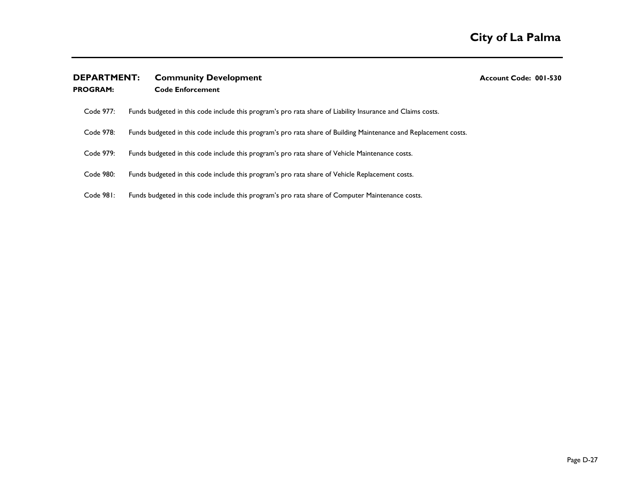## **DEPARTMENT:** Community Development **COMENT:** Account Code: 001-530

**PROGRAM: Code Enforcement**

| Code 977: |                                                                                                            |  |
|-----------|------------------------------------------------------------------------------------------------------------|--|
|           | Funds budgeted in this code include this program's pro rata share of Liability Insurance and Claims costs. |  |

- Code 978: Funds budgeted in this code include this program's pro rata share of Building Maintenance and Replacement costs.
- Code 979: Funds budgeted in this code include this program's pro rata share of Vehicle Maintenance costs.
- Code 980: Funds budgeted in this code include this program's pro rata share of Vehicle Replacement costs.
- Code 981: Funds budgeted in this code include this program's pro rata share of Computer Maintenance costs.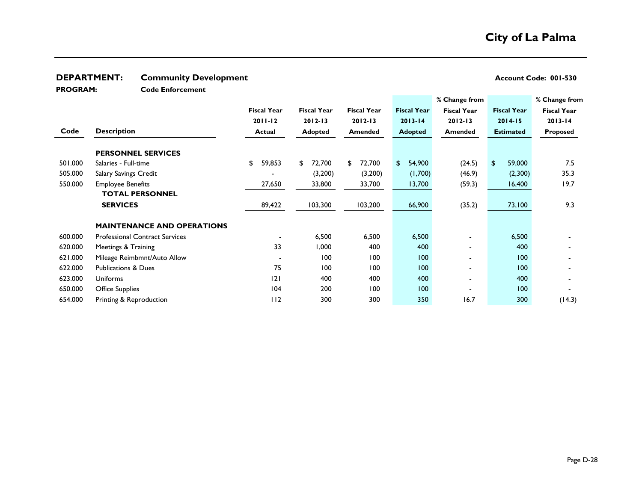## **DEPARTMENT:** Community Development **Account Code: 001-530**

**PROGRAM:** 

J.

**Code Enforcement**

|         |                                       |                    |                    |                    |                    | % Change from            |                        | % Change from      |  |
|---------|---------------------------------------|--------------------|--------------------|--------------------|--------------------|--------------------------|------------------------|--------------------|--|
|         |                                       | <b>Fiscal Year</b> | <b>Fiscal Year</b> | <b>Fiscal Year</b> | <b>Fiscal Year</b> | <b>Fiscal Year</b>       | <b>Fiscal Year</b>     | <b>Fiscal Year</b> |  |
|         |                                       | $2011 - 12$        | $2012 - 13$        | $2012 - 13$        | $2013 - 14$        | $2012 - 13$              | $2014 - 15$            | $2013 - 14$        |  |
| Code    | <b>Description</b>                    | <b>Actual</b>      | <b>Adopted</b>     | <b>Amended</b>     | <b>Adopted</b>     | <b>Amended</b>           | <b>Estimated</b>       | Proposed           |  |
|         | <b>PERSONNEL SERVICES</b>             |                    |                    |                    |                    |                          |                        |                    |  |
| 501.000 | Salaries - Full-time                  | \$<br>59,853       | \$<br>72,700       | 72,700<br>\$       | 54,900<br>\$       | (24.5)                   | $\mathbf{s}$<br>59,000 | 7.5                |  |
| 505.000 | <b>Salary Savings Credit</b>          |                    | (3,200)            | (3,200)            | (1,700)            | (46.9)                   | (2,300)                | 35.3               |  |
| 550.000 | <b>Employee Benefits</b>              | 27,650             | 33,800             | 33,700             | 13,700             | (59.3)                   | 16,400                 | 19.7               |  |
|         | <b>TOTAL PERSONNEL</b>                |                    |                    |                    |                    |                          |                        |                    |  |
|         | <b>SERVICES</b>                       | 89,422             | 103,300            | 103,200            | 66,900             | (35.2)                   | 73,100                 | 9.3                |  |
|         | <b>MAINTENANCE AND OPERATIONS</b>     |                    |                    |                    |                    |                          |                        |                    |  |
| 600.000 | <b>Professional Contract Services</b> |                    | 6,500              | 6,500              | 6,500              |                          | 6,500                  |                    |  |
| 620.000 | Meetings & Training                   | 33                 | 1,000              | 400                | 400                |                          | 400                    |                    |  |
| 621.000 | Mileage Reimbmnt/Auto Allow           |                    | 100                | 100                | 100                |                          | 100                    |                    |  |
| 622.000 | <b>Publications &amp; Dues</b>        | 75                 | 100                | 100                | 100                |                          | 100                    |                    |  |
| 623.000 | <b>Uniforms</b>                       | 2                  | 400                | 400                | 400                | $\overline{\phantom{0}}$ | 400                    |                    |  |
| 650.000 | <b>Office Supplies</b>                | 104                | 200                | 100                | 100                |                          | 100                    |                    |  |
| 654.000 | Printing & Reproduction               | 112                | 300                | 300                | 350                | 16.7                     | 300                    | (14.3)             |  |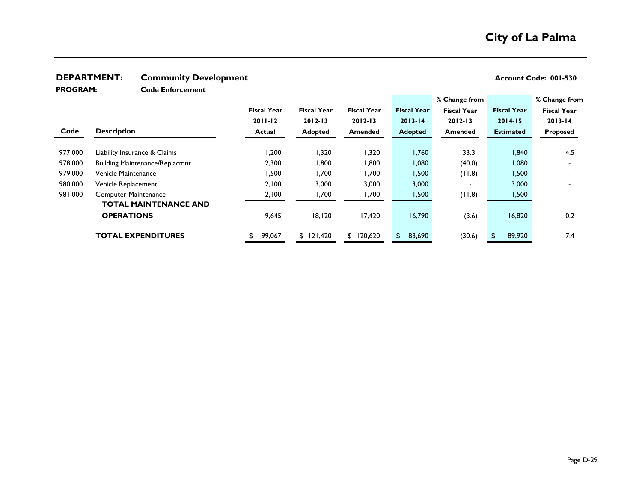## **DEPARTMENT:** Community Development **Account Code: 001-530**

**PROGRAM:** 

**Code Enforcement**

|         |                                       |                    |                    |                    |                        | % Change from            |                    | % Change from      |
|---------|---------------------------------------|--------------------|--------------------|--------------------|------------------------|--------------------------|--------------------|--------------------|
|         |                                       | <b>Fiscal Year</b> | <b>Fiscal Year</b> | <b>Fiscal Year</b> | <b>Fiscal Year</b>     | <b>Fiscal Year</b>       | <b>Fiscal Year</b> | <b>Fiscal Year</b> |
|         |                                       | $2011 - 12$        | $2012 - 13$        | $2012 - 13$        | $2013 - 14$            | $2012 - 13$              | $2014 - 15$        | $2013 - 14$        |
| Code    | <b>Description</b>                    | <b>Actual</b>      | <b>Adopted</b>     | Amended            | <b>Adopted</b>         | <b>Amended</b>           | <b>Estimated</b>   | <b>Proposed</b>    |
|         |                                       |                    |                    |                    |                        |                          |                    |                    |
| 977.000 | Liability Insurance & Claims          | 1,200              | 1,320              | 1,320              | 760, ا                 | 33.3                     | 840,ا              | 4.5                |
| 978.000 | <b>Building Maintenance/Replacmnt</b> | 2,300              | 1,800              | 1,800              | 080, ا                 | (40.0)                   | 080,               |                    |
| 979.000 | Vehicle Maintenance                   | 1,500              | 1,700              | 1,700              | 1,500                  | (11.8)                   | 1,500              |                    |
| 980.000 | Vehicle Replacement                   | 2,100              | 3,000              | 3,000              | 3,000                  | $\overline{\phantom{0}}$ | 3,000              |                    |
| 981.000 | <b>Computer Maintenance</b>           | 2,100              | 1,700              | 1,700              | 1,500                  | (11.8)                   | 1,500              |                    |
|         | <b>TOTAL MAINTENANCE AND</b>          |                    |                    |                    |                        |                          |                    |                    |
|         | <b>OPERATIONS</b>                     | 9,645              | 18,120             | 17,420             | 16,790                 | (3.6)                    | 16,820             | 0.2                |
|         | <b>TOTAL EXPENDITURES</b>             | 99,067             | \$121,420          | \$120,620          | 83,690<br>$\mathbf{s}$ | (30.6)                   | 89,920             | 7.4                |